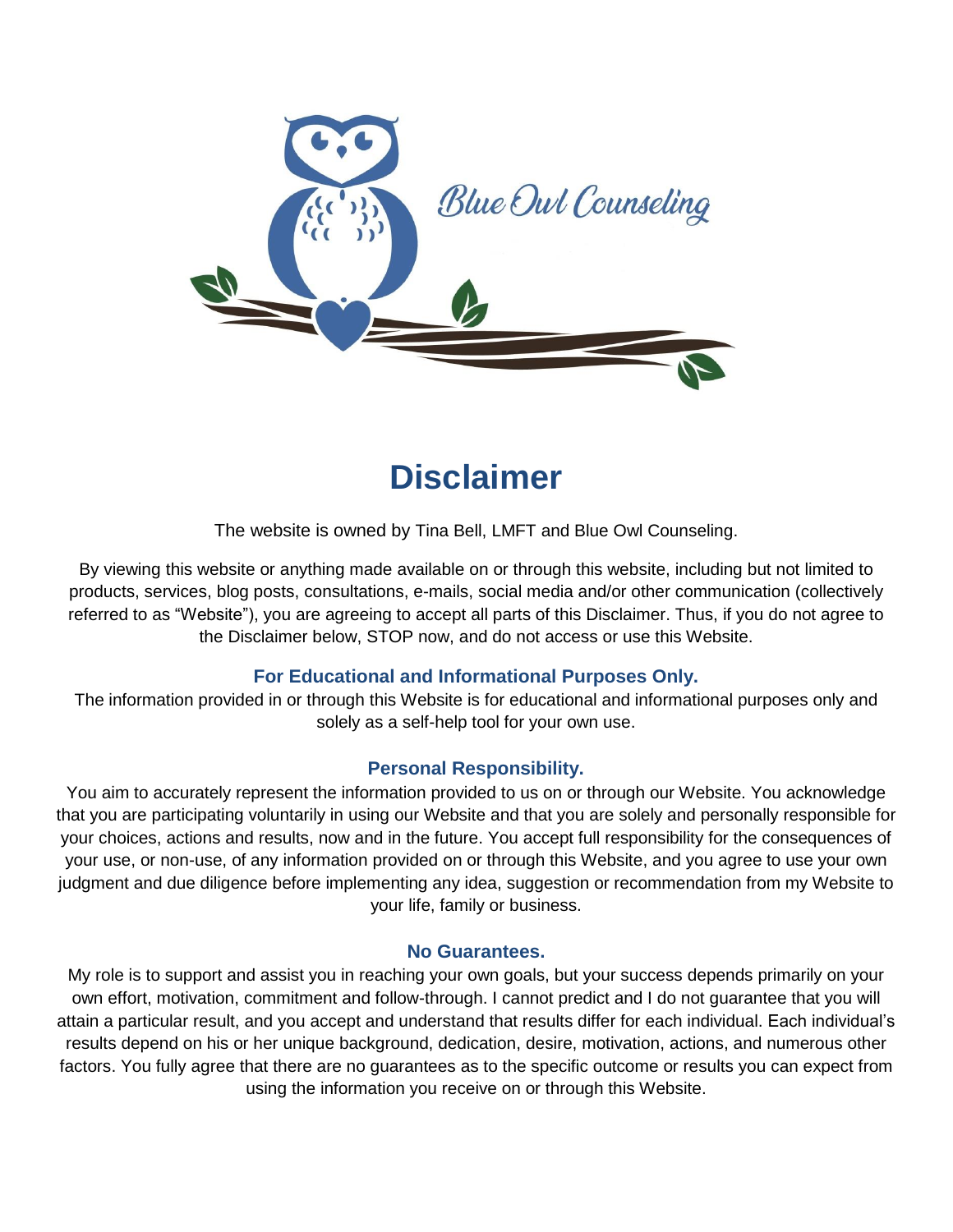

# **Disclaimer**

The website is owned by Tina Bell, LMFT and Blue Owl Counseling.

By viewing this website or anything made available on or through this website, including but not limited to products, services, blog posts, consultations, e-mails, social media and/or other communication (collectively referred to as "Website"), you are agreeing to accept all parts of this Disclaimer. Thus, if you do not agree to the Disclaimer below, STOP now, and do not access or use this Website.

## **For Educational and Informational Purposes Only.**

The information provided in or through this Website is for educational and informational purposes only and solely as a self-help tool for your own use.

### **Personal Responsibility.**

You aim to accurately represent the information provided to us on or through our Website. You acknowledge that you are participating voluntarily in using our Website and that you are solely and personally responsible for your choices, actions and results, now and in the future. You accept full responsibility for the consequences of your use, or non-use, of any information provided on or through this Website, and you agree to use your own judgment and due diligence before implementing any idea, suggestion or recommendation from my Website to your life, family or business.

#### **No Guarantees.**

My role is to support and assist you in reaching your own goals, but your success depends primarily on your own effort, motivation, commitment and follow-through. I cannot predict and I do not guarantee that you will attain a particular result, and you accept and understand that results differ for each individual. Each individual's results depend on his or her unique background, dedication, desire, motivation, actions, and numerous other factors. You fully agree that there are no guarantees as to the specific outcome or results you can expect from using the information you receive on or through this Website.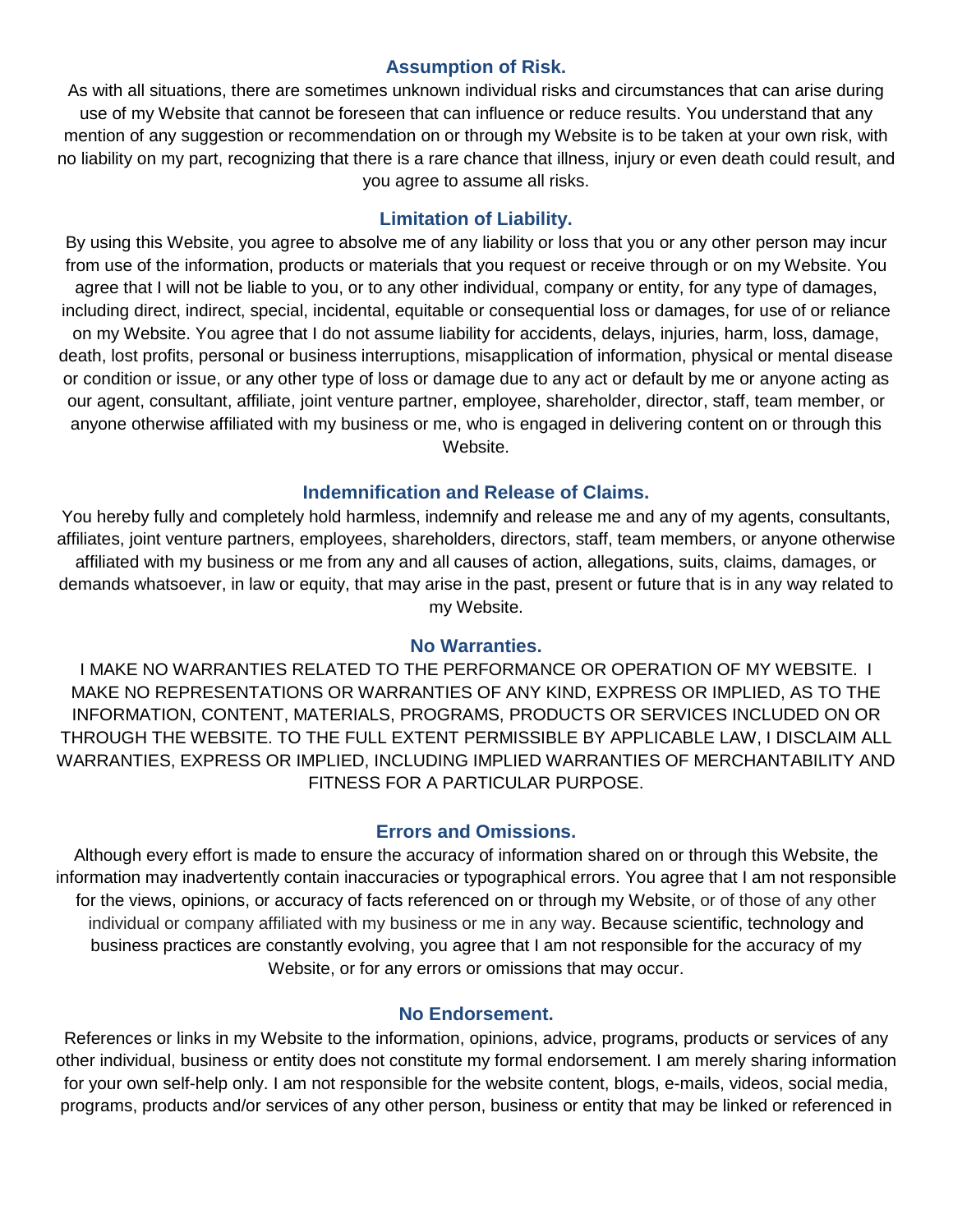#### **Assumption of Risk.**

As with all situations, there are sometimes unknown individual risks and circumstances that can arise during use of my Website that cannot be foreseen that can influence or reduce results. You understand that any mention of any suggestion or recommendation on or through my Website is to be taken at your own risk, with no liability on my part, recognizing that there is a rare chance that illness, injury or even death could result, and you agree to assume all risks.

## **Limitation of Liability.**

By using this Website, you agree to absolve me of any liability or loss that you or any other person may incur from use of the information, products or materials that you request or receive through or on my Website. You agree that I will not be liable to you, or to any other individual, company or entity, for any type of damages, including direct, indirect, special, incidental, equitable or consequential loss or damages, for use of or reliance on my Website. You agree that I do not assume liability for accidents, delays, injuries, harm, loss, damage, death, lost profits, personal or business interruptions, misapplication of information, physical or mental disease or condition or issue, or any other type of loss or damage due to any act or default by me or anyone acting as our agent, consultant, affiliate, joint venture partner, employee, shareholder, director, staff, team member, or anyone otherwise affiliated with my business or me, who is engaged in delivering content on or through this Website.

### **Indemnification and Release of Claims.**

You hereby fully and completely hold harmless, indemnify and release me and any of my agents, consultants, affiliates, joint venture partners, employees, shareholders, directors, staff, team members, or anyone otherwise affiliated with my business or me from any and all causes of action, allegations, suits, claims, damages, or demands whatsoever, in law or equity, that may arise in the past, present or future that is in any way related to my Website.

### **No Warranties.**

I MAKE NO WARRANTIES RELATED TO THE PERFORMANCE OR OPERATION OF MY WEBSITE. I MAKE NO REPRESENTATIONS OR WARRANTIES OF ANY KIND, EXPRESS OR IMPLIED, AS TO THE INFORMATION, CONTENT, MATERIALS, PROGRAMS, PRODUCTS OR SERVICES INCLUDED ON OR THROUGH THE WEBSITE. TO THE FULL EXTENT PERMISSIBLE BY APPLICABLE LAW, I DISCLAIM ALL WARRANTIES, EXPRESS OR IMPLIED, INCLUDING IMPLIED WARRANTIES OF MERCHANTABILITY AND FITNESS FOR A PARTICULAR PURPOSE.

### **Errors and Omissions.**

Although every effort is made to ensure the accuracy of information shared on or through this Website, the information may inadvertently contain inaccuracies or typographical errors. You agree that I am not responsible for the views, opinions, or accuracy of facts referenced on or through my Website, or of those of any other individual or company affiliated with my business or me in any way. Because scientific, technology and business practices are constantly evolving, you agree that I am not responsible for the accuracy of my Website, or for any errors or omissions that may occur.

### **No Endorsement.**

References or links in my Website to the information, opinions, advice, programs, products or services of any other individual, business or entity does not constitute my formal endorsement. I am merely sharing information for your own self-help only. I am not responsible for the website content, blogs, e-mails, videos, social media, programs, products and/or services of any other person, business or entity that may be linked or referenced in